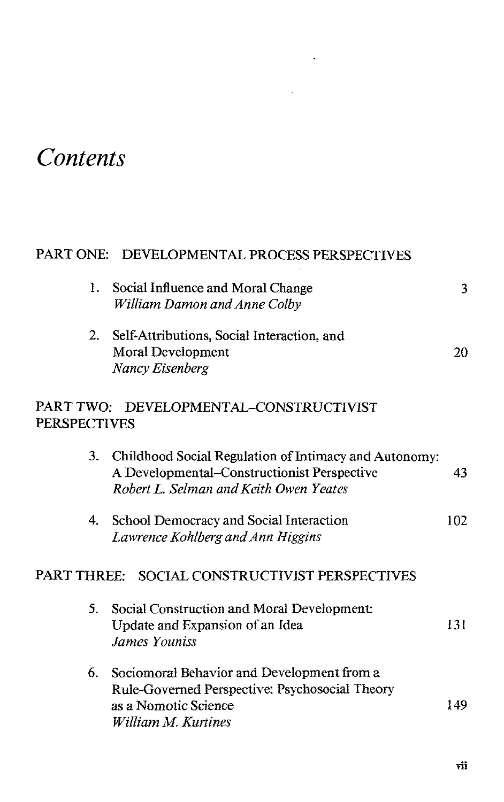## *Contents*

## PART ONE: DEVELOPMENTAL PROCESS PERSPECTIVES

 $\hat{\mathbf{z}}$ 

l,

| 1.                                                            | Social Influence and Moral Change<br>William Damon and Anne Colby                                                                                 | 3   |  |  |
|---------------------------------------------------------------|---------------------------------------------------------------------------------------------------------------------------------------------------|-----|--|--|
| 2.                                                            | Self-Attributions, Social Interaction, and<br><b>Moral Development</b><br>Nancy Eisenberg                                                         | 20  |  |  |
| PART TWO: DEVELOPMENTAL-CONSTRUCTIVIST<br><b>PERSPECTIVES</b> |                                                                                                                                                   |     |  |  |
|                                                               | 3. Childhood Social Regulation of Intimacy and Autonomy:<br>A Developmental-Constructionist Perspective<br>Robert L. Selman and Keith Owen Yeates | 43  |  |  |
| 4.                                                            | School Democracy and Social Interaction<br>Lawrence Kohlberg and Ann Higgins                                                                      | 102 |  |  |
| PART THREE: SOCIAL CONSTRUCTIVIST PERSPECTIVES                |                                                                                                                                                   |     |  |  |
| 5.                                                            | Social Construction and Moral Development:<br>Update and Expansion of an Idea<br>James Youniss                                                    | 131 |  |  |
|                                                               | 6. Sociomoral Behavior and Development from a<br>Rule-Governed Perspective: Psychosocial Theory<br>as a Nomotic Science<br>William M. Kurtines    | 149 |  |  |